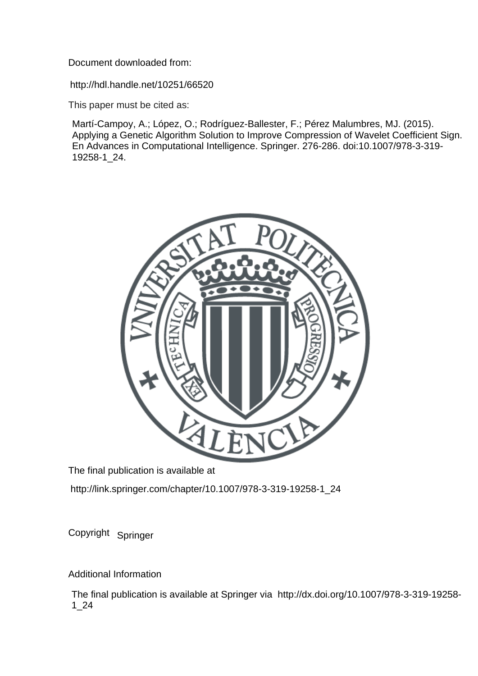Document downloaded from:

http://hdl.handle.net/10251/66520

This paper must be cited as:

Martí-Campoy, A.; López, O.; Rodríguez-Ballester, F.; Pérez Malumbres, MJ. (2015). Applying a Genetic Algorithm Solution to Improve Compression of Wavelet Coefficient Sign. En Advances in Computational Intelligence. Springer. 276-286. doi:10.1007/978-3-319- 19258-1\_24.



The final publication is available at

http://link.springer.com/chapter/10.1007/978-3-319-19258-1\_24

Copyright Springer

Additional Information

The final publication is available at Springer via http://dx.doi.org/10.1007/978-3-319-19258- 1\_24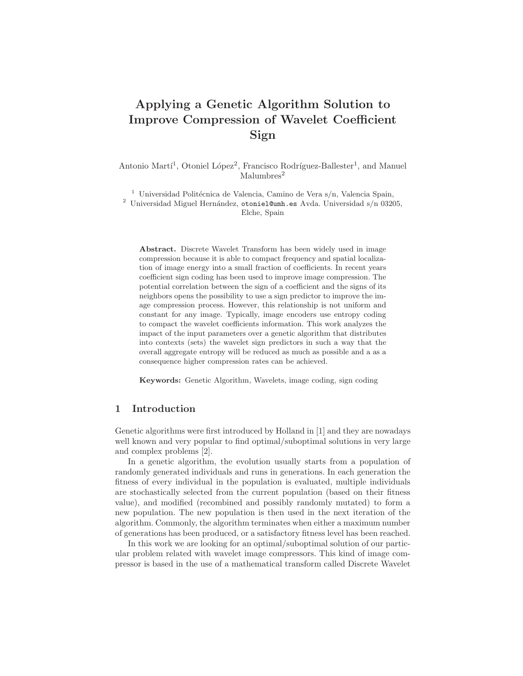# Applying a Genetic Algorithm Solution to Improve Compression of Wavelet Coefficient Sign

Antonio Martí<sup>1</sup>, Otoniel López<sup>2</sup>, Francisco Rodríguez-Ballester<sup>1</sup>, and Manuel  $M$ alumbres<sup>2</sup>

<sup>1</sup> Universidad Politécnica de Valencia, Camino de Vera s/n, Valencia Spain,

<sup>2</sup> Universidad Miguel Hernández, otoniel@umh.es Avda. Universidad s/n 03205, Elche, Spain

Abstract. Discrete Wavelet Transform has been widely used in image compression because it is able to compact frequency and spatial localization of image energy into a small fraction of coefficients. In recent years coefficient sign coding has been used to improve image compression. The potential correlation between the sign of a coefficient and the signs of its neighbors opens the possibility to use a sign predictor to improve the image compression process. However, this relationship is not uniform and constant for any image. Typically, image encoders use entropy coding to compact the wavelet coefficients information. This work analyzes the impact of the input parameters over a genetic algorithm that distributes into contexts (sets) the wavelet sign predictors in such a way that the overall aggregate entropy will be reduced as much as possible and a as a consequence higher compression rates can be achieved.

Keywords: Genetic Algorithm, Wavelets, image coding, sign coding

### 1 Introduction

Genetic algorithms were first introduced by Holland in [1] and they are nowadays well known and very popular to find optimal/suboptimal solutions in very large and complex problems [2].

In a genetic algorithm, the evolution usually starts from a population of randomly generated individuals and runs in generations. In each generation the fitness of every individual in the population is evaluated, multiple individuals are stochastically selected from the current population (based on their fitness value), and modified (recombined and possibly randomly mutated) to form a new population. The new population is then used in the next iteration of the algorithm. Commonly, the algorithm terminates when either a maximum number of generations has been produced, or a satisfactory fitness level has been reached.

In this work we are looking for an optimal/suboptimal solution of our particular problem related with wavelet image compressors. This kind of image compressor is based in the use of a mathematical transform called Discrete Wavelet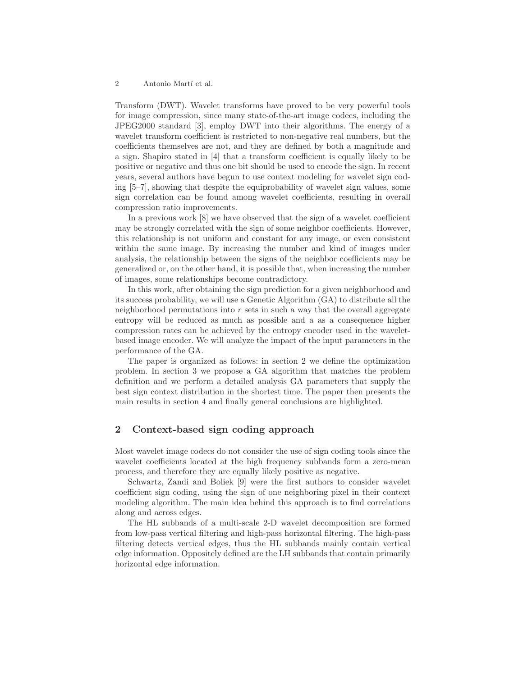#### 2 Antonio Martí et al.

Transform (DWT). Wavelet transforms have proved to be very powerful tools for image compression, since many state-of-the-art image codecs, including the JPEG2000 standard [3], employ DWT into their algorithms. The energy of a wavelet transform coefficient is restricted to non-negative real numbers, but the coefficients themselves are not, and they are defined by both a magnitude and a sign. Shapiro stated in [4] that a transform coefficient is equally likely to be positive or negative and thus one bit should be used to encode the sign. In recent years, several authors have begun to use context modeling for wavelet sign coding [5–7], showing that despite the equiprobability of wavelet sign values, some sign correlation can be found among wavelet coefficients, resulting in overall compression ratio improvements.

In a previous work [8] we have observed that the sign of a wavelet coefficient may be strongly correlated with the sign of some neighbor coefficients. However, this relationship is not uniform and constant for any image, or even consistent within the same image. By increasing the number and kind of images under analysis, the relationship between the signs of the neighbor coefficients may be generalized or, on the other hand, it is possible that, when increasing the number of images, some relationships become contradictory.

In this work, after obtaining the sign prediction for a given neighborhood and its success probability, we will use a Genetic Algorithm (GA) to distribute all the neighborhood permutations into  $r$  sets in such a way that the overall aggregate entropy will be reduced as much as possible and a as a consequence higher compression rates can be achieved by the entropy encoder used in the waveletbased image encoder. We will analyze the impact of the input parameters in the performance of the GA.

The paper is organized as follows: in section 2 we define the optimization problem. In section 3 we propose a GA algorithm that matches the problem definition and we perform a detailed analysis GA parameters that supply the best sign context distribution in the shortest time. The paper then presents the main results in section 4 and finally general conclusions are highlighted.

### 2 Context-based sign coding approach

Most wavelet image codecs do not consider the use of sign coding tools since the wavelet coefficients located at the high frequency subbands form a zero-mean process, and therefore they are equally likely positive as negative.

Schwartz, Zandi and Boliek [9] were the first authors to consider wavelet coefficient sign coding, using the sign of one neighboring pixel in their context modeling algorithm. The main idea behind this approach is to find correlations along and across edges.

The HL subbands of a multi-scale 2-D wavelet decomposition are formed from low-pass vertical filtering and high-pass horizontal filtering. The high-pass filtering detects vertical edges, thus the HL subbands mainly contain vertical edge information. Oppositely defined are the LH subbands that contain primarily horizontal edge information.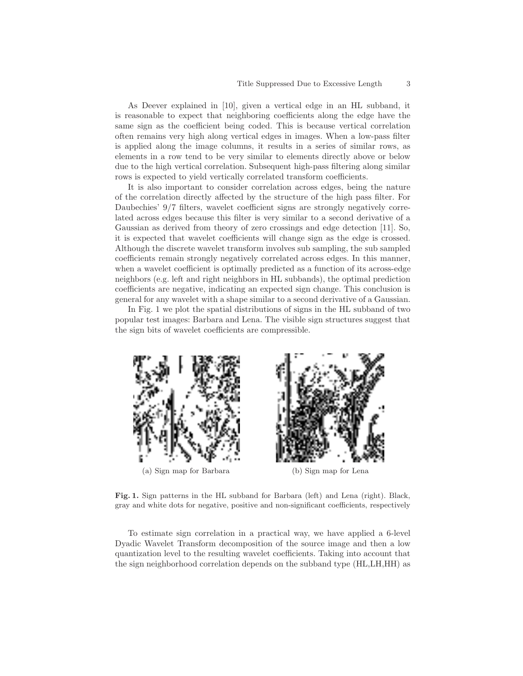As Deever explained in [10], given a vertical edge in an HL subband, it is reasonable to expect that neighboring coefficients along the edge have the same sign as the coefficient being coded. This is because vertical correlation often remains very high along vertical edges in images. When a low-pass filter is applied along the image columns, it results in a series of similar rows, as elements in a row tend to be very similar to elements directly above or below due to the high vertical correlation. Subsequent high-pass filtering along similar rows is expected to yield vertically correlated transform coefficients.

It is also important to consider correlation across edges, being the nature of the correlation directly affected by the structure of the high pass filter. For Daubechies' 9/7 filters, wavelet coefficient signs are strongly negatively correlated across edges because this filter is very similar to a second derivative of a Gaussian as derived from theory of zero crossings and edge detection [11]. So, it is expected that wavelet coefficients will change sign as the edge is crossed. Although the discrete wavelet transform involves sub sampling, the sub sampled coefficients remain strongly negatively correlated across edges. In this manner, when a wavelet coefficient is optimally predicted as a function of its across-edge neighbors (e.g. left and right neighbors in HL subbands), the optimal prediction coefficients are negative, indicating an expected sign change. This conclusion is general for any wavelet with a shape similar to a second derivative of a Gaussian.

In Fig. 1 we plot the spatial distributions of signs in the HL subband of two popular test images: Barbara and Lena. The visible sign structures suggest that the sign bits of wavelet coefficients are compressible.



Fig. 1. Sign patterns in the HL subband for Barbara (left) and Lena (right). Black, gray and white dots for negative, positive and non-significant coefficients, respectively

To estimate sign correlation in a practical way, we have applied a 6-level Dyadic Wavelet Transform decomposition of the source image and then a low quantization level to the resulting wavelet coefficients. Taking into account that the sign neighborhood correlation depends on the subband type (HL,LH,HH) as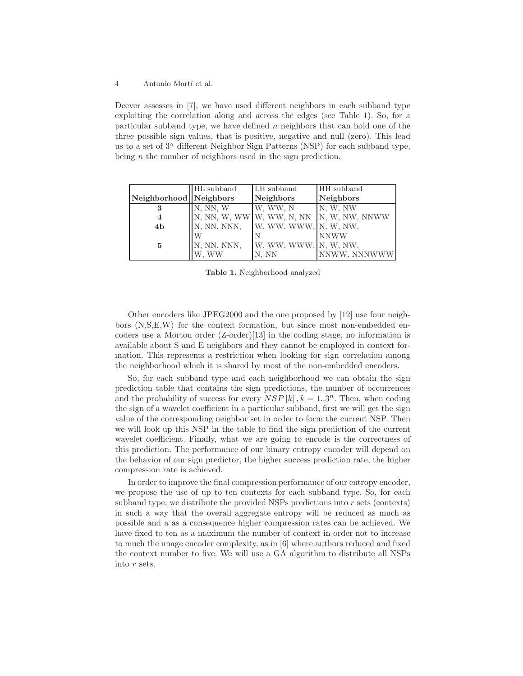4 Antonio Martí et al.

Deever assesses in [7], we have used different neighbors in each subband type exploiting the correlation along and across the edges (see Table 1). So, for a particular subband type, we have defined  $n$  neighbors that can hold one of the three possible sign values, that is positive, negative and null (zero). This lead us to a set of  $3^n$  different Neighbor Sign Patterns (NSP) for each subband type, being *n* the number of neighbors used in the sign prediction.

|                        | HL subband      | LH subband             | HH subband     |  |  |
|------------------------|-----------------|------------------------|----------------|--|--|
| Neighborhood Neighbors |                 | Neighbors              | Neighbors      |  |  |
| 3                      | N, NN, W        | W. WW. N               | N, W, NW       |  |  |
| $\overline{4}$         | N, NN,<br>W. WW | W. WW, N, NN           | N, W, NW, NNWW |  |  |
| 4 <sub>b</sub>         | N, NN, NNN,     | W, WW, WWW, IN, W, NW, |                |  |  |
|                        |                 |                        | <b>NNWW</b>    |  |  |
| 5                      | N, NN, NNN,     | W. WW. WWW.            | N. W. NW.      |  |  |
|                        | WW              | N, NN                  | NNNWWW         |  |  |

Table 1. Neighborhood analyzed

Other encoders like JPEG2000 and the one proposed by [12] use four neighbors (N,S,E,W) for the context formation, but since most non-embedded encoders use a Morton order  $(Z\text{-order})$ [13] in the coding stage, no information is available about S and E neighbors and they cannot be employed in context formation. This represents a restriction when looking for sign correlation among the neighborhood which it is shared by most of the non-embedded encoders.

So, for each subband type and each neighborhood we can obtain the sign prediction table that contains the sign predictions, the number of occurrences and the probability of success for every  $NSP[k]$ ,  $k = 1..3^n$ . Then, when coding the sign of a wavelet coefficient in a particular subband, first we will get the sign value of the corresponding neighbor set in order to form the current NSP. Then we will look up this NSP in the table to find the sign prediction of the current wavelet coefficient. Finally, what we are going to encode is the correctness of this prediction. The performance of our binary entropy encoder will depend on the behavior of our sign predictor, the higher success prediction rate, the higher compression rate is achieved.

In order to improve the final compression performance of our entropy encoder, we propose the use of up to ten contexts for each subband type. So, for each subband type, we distribute the provided NSPs predictions into r sets (contexts) in such a way that the overall aggregate entropy will be reduced as much as possible and a as a consequence higher compression rates can be achieved. We have fixed to ten as a maximum the number of context in order not to increase to much the image encoder complexity, as in [6] where authors reduced and fixed the context number to five. We will use a GA algorithm to distribute all NSPs into r sets.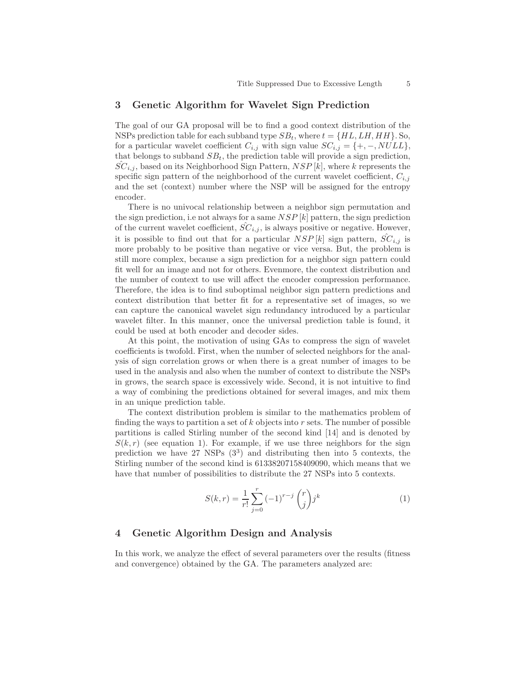#### 3 Genetic Algorithm for Wavelet Sign Prediction

The goal of our GA proposal will be to find a good context distribution of the NSPs prediction table for each subband type  $SB_t$ , where  $t = \{HL, LH, HH\}$ . So, for a particular wavelet coefficient  $C_{i,j}$  with sign value  $SC_{i,j} = \{+, -, NULL\}$ , that belongs to subband  $SB_t$ , the prediction table will provide a sign prediction,  $\hat{SC}_{i,j}$ , based on its Neighborhood Sign Pattern,  $NSP[k]$ , where k represents the specific sign pattern of the neighborhood of the current wavelet coefficient,  $C_{i,j}$ and the set (context) number where the NSP will be assigned for the entropy encoder.

There is no univocal relationship between a neighbor sign permutation and the sign prediction, i.e not always for a same  $NSP[k]$  pattern, the sign prediction of the current wavelet coefficient,  $\hat{SC}_{i,j}$ , is always positive or negative. However, it is possible to find out that for a particular  $NSP[k]$  sign pattern,  $\hat{SC}_{i,j}$  is more probably to be positive than negative or vice versa. But, the problem is still more complex, because a sign prediction for a neighbor sign pattern could fit well for an image and not for others. Evenmore, the context distribution and the number of context to use will affect the encoder compression performance. Therefore, the idea is to find suboptimal neighbor sign pattern predictions and context distribution that better fit for a representative set of images, so we can capture the canonical wavelet sign redundancy introduced by a particular wavelet filter. In this manner, once the universal prediction table is found, it could be used at both encoder and decoder sides.

At this point, the motivation of using GAs to compress the sign of wavelet coefficients is twofold. First, when the number of selected neighbors for the analysis of sign correlation grows or when there is a great number of images to be used in the analysis and also when the number of context to distribute the NSPs in grows, the search space is excessively wide. Second, it is not intuitive to find a way of combining the predictions obtained for several images, and mix them in an unique prediction table.

The context distribution problem is similar to the mathematics problem of finding the ways to partition a set of  $k$  objects into  $r$  sets. The number of possible partitions is called Stirling number of the second kind [14] and is denoted by  $S(k, r)$  (see equation 1). For example, if we use three neighbors for the sign prediction we have  $27$  NSPs  $(3^3)$  and distributing then into 5 contexts, the Stirling number of the second kind is 61338207158409090, which means that we have that number of possibilities to distribute the 27 NSPs into 5 contexts.

$$
S(k,r) = \frac{1}{r!} \sum_{j=0}^{r} (-1)^{r-j} {r \choose j} j^{k}
$$
 (1)

#### 4 Genetic Algorithm Design and Analysis

In this work, we analyze the effect of several parameters over the results (fitness and convergence) obtained by the GA. The parameters analyzed are: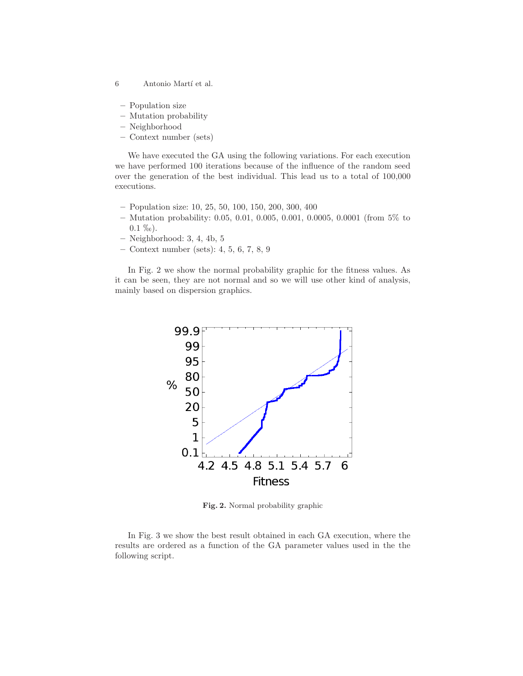- 6 Antonio Martí et al.
- Population size
- Mutation probability
- Neighborhood
- Context number (sets)

We have executed the GA using the following variations. For each execution we have performed 100 iterations because of the influence of the random seed over the generation of the best individual. This lead us to a total of 100,000 executions.

- Population size: 10, 25, 50, 100, 150, 200, 300, 400
- Mutation probability: 0.05, 0.01, 0.005, 0.001, 0.0005, 0.0001 (from 5% to  $0.1 \ \%$ .
- Neighborhood: 3, 4, 4b, 5
- Context number (sets): 4, 5, 6, 7, 8, 9

In Fig. 2 we show the normal probability graphic for the fitness values. As it can be seen, they are not normal and so we will use other kind of analysis, mainly based on dispersion graphics.



Fig. 2. Normal probability graphic

In Fig. 3 we show the best result obtained in each GA execution, where the results are ordered as a function of the GA parameter values used in the the following script.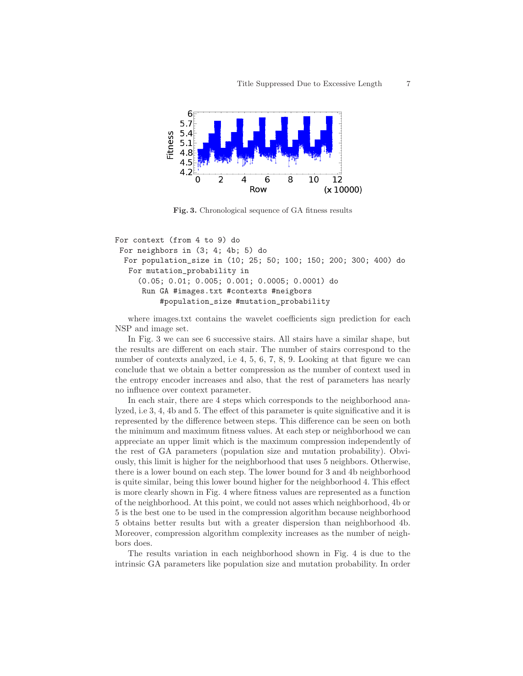

Fig. 3. Chronological sequence of GA fitness results

```
For context (from 4 to 9) do
For neighbors in (3; 4; 4b; 5) do
 For population_size in (10; 25; 50; 100; 150; 200; 300; 400) do
  For mutation_probability in
     (0.05; 0.01; 0.005; 0.001; 0.0005; 0.0001) do
     Run GA #images.txt #contexts #neigbors
          #population_size #mutation_probability
```
where images.txt contains the wavelet coefficients sign prediction for each NSP and image set.

In Fig. 3 we can see 6 successive stairs. All stairs have a similar shape, but the results are different on each stair. The number of stairs correspond to the number of contexts analyzed, i.e 4, 5, 6, 7, 8, 9. Looking at that figure we can conclude that we obtain a better compression as the number of context used in the entropy encoder increases and also, that the rest of parameters has nearly no influence over context parameter.

In each stair, there are 4 steps which corresponds to the neighborhood analyzed, i.e 3, 4, 4b and 5. The effect of this parameter is quite significative and it is represented by the difference between steps. This difference can be seen on both the minimum and maximum fitness values. At each step or neighborhood we can appreciate an upper limit which is the maximum compression independently of the rest of GA parameters (population size and mutation probability). Obviously, this limit is higher for the neighborhood that uses 5 neighbors. Otherwise, there is a lower bound on each step. The lower bound for 3 and 4b neighborhood is quite similar, being this lower bound higher for the neighborhood 4. This effect is more clearly shown in Fig. 4 where fitness values are represented as a function of the neighborhood. At this point, we could not asses which neighborhood, 4b or 5 is the best one to be used in the compression algorithm because neighborhood 5 obtains better results but with a greater dispersion than neighborhood 4b. Moreover, compression algorithm complexity increases as the number of neighbors does.

The results variation in each neighborhood shown in Fig. 4 is due to the intrinsic GA parameters like population size and mutation probability. In order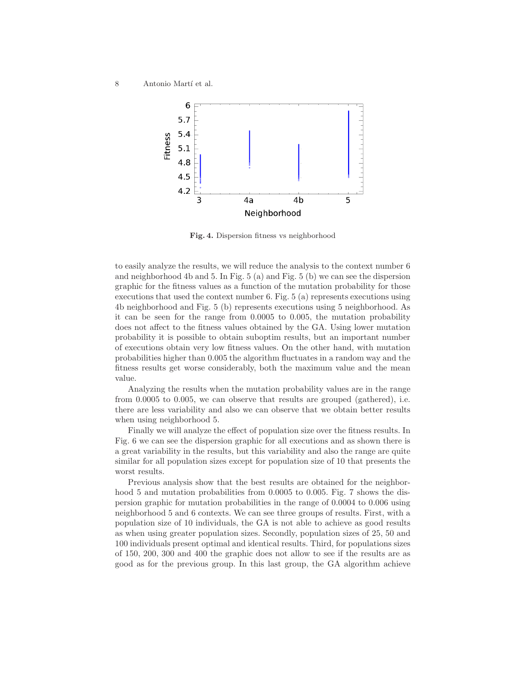

Fig. 4. Dispersion fitness vs neighborhood

to easily analyze the results, we will reduce the analysis to the context number 6 and neighborhood 4b and 5. In Fig. 5 (a) and Fig. 5 (b) we can see the dispersion graphic for the fitness values as a function of the mutation probability for those executions that used the context number 6. Fig. 5 (a) represents executions using 4b neighborhood and Fig. 5 (b) represents executions using 5 neighborhood. As it can be seen for the range from 0.0005 to 0.005, the mutation probability does not affect to the fitness values obtained by the GA. Using lower mutation probability it is possible to obtain suboptim results, but an important number of executions obtain very low fitness values. On the other hand, with mutation probabilities higher than 0.005 the algorithm fluctuates in a random way and the fitness results get worse considerably, both the maximum value and the mean value.

Analyzing the results when the mutation probability values are in the range from 0.0005 to 0.005, we can observe that results are grouped (gathered), i.e. there are less variability and also we can observe that we obtain better results when using neighborhood 5.

Finally we will analyze the effect of population size over the fitness results. In Fig. 6 we can see the dispersion graphic for all executions and as shown there is a great variability in the results, but this variability and also the range are quite similar for all population sizes except for population size of 10 that presents the worst results.

Previous analysis show that the best results are obtained for the neighborhood 5 and mutation probabilities from 0.0005 to 0.005. Fig. 7 shows the dispersion graphic for mutation probabilities in the range of 0.0004 to 0.006 using neighborhood 5 and 6 contexts. We can see three groups of results. First, with a population size of 10 individuals, the GA is not able to achieve as good results as when using greater population sizes. Secondly, population sizes of 25, 50 and 100 individuals present optimal and identical results. Third, for populations sizes of 150, 200, 300 and 400 the graphic does not allow to see if the results are as good as for the previous group. In this last group, the GA algorithm achieve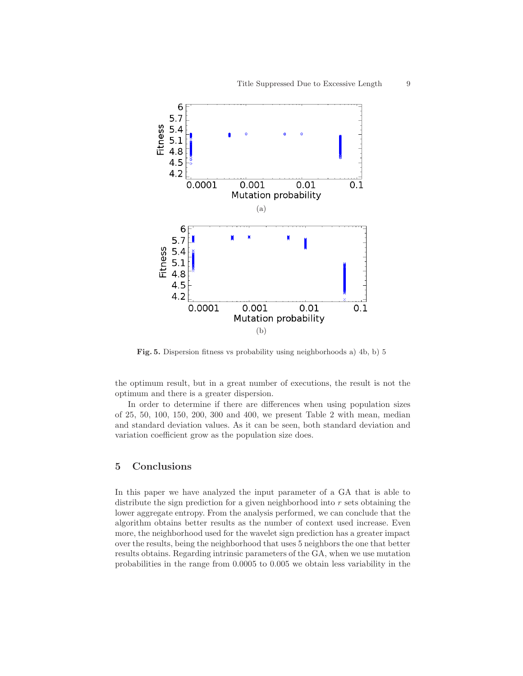

Fig. 5. Dispersion fitness vs probability using neighborhoods a) 4b, b) 5

the optimum result, but in a great number of executions, the result is not the optimum and there is a greater dispersion.

In order to determine if there are differences when using population sizes of 25, 50, 100, 150, 200, 300 and 400, we present Table 2 with mean, median and standard deviation values. As it can be seen, both standard deviation and variation coefficient grow as the population size does.

## 5 Conclusions

In this paper we have analyzed the input parameter of a GA that is able to distribute the sign prediction for a given neighborhood into r sets obtaining the lower aggregate entropy. From the analysis performed, we can conclude that the algorithm obtains better results as the number of context used increase. Even more, the neighborhood used for the wavelet sign prediction has a greater impact over the results, being the neighborhood that uses 5 neighbors the one that better results obtains. Regarding intrinsic parameters of the GA, when we use mutation probabilities in the range from 0.0005 to 0.005 we obtain less variability in the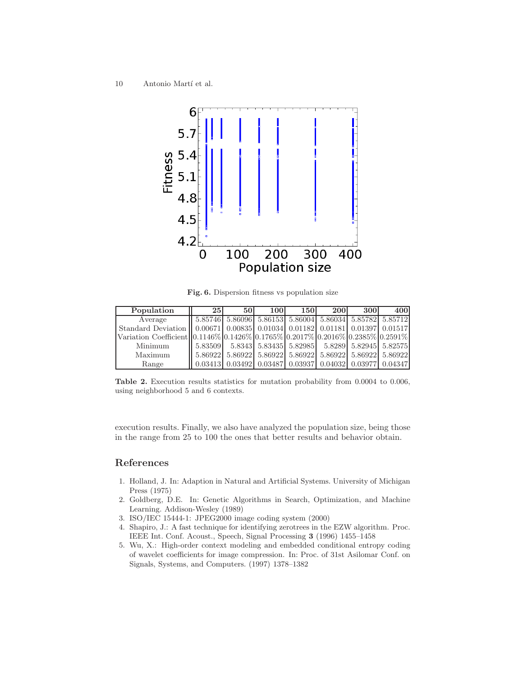

Fig. 6. Dispersion fitness vs population size

| Population                                                                    | 25 <sub>1</sub>                                                     | 50I | 100 | 150 | <b>200</b> | 300                                                       | 400                                                     |
|-------------------------------------------------------------------------------|---------------------------------------------------------------------|-----|-----|-----|------------|-----------------------------------------------------------|---------------------------------------------------------|
| Average                                                                       | $\parallel$ 5.85746 5.86096 5.86153 5.86004 5.86034 5.85782 5.85712 |     |     |     |            |                                                           |                                                         |
| Standard Deviation 0.00671 0.00835 0.01034 0.01182 0.01181 0.01397 0.01517    |                                                                     |     |     |     |            |                                                           |                                                         |
| Variation Coefficient 0.1146% 0.1426% 0.1765% 0.2017% 0.2016% 0.2385% 0.2591% |                                                                     |     |     |     |            |                                                           |                                                         |
| Minimum                                                                       |                                                                     |     |     |     |            |                                                           | 5.83509 5.8343 5.83435 5.82985 5.8289 5.82945 5.82575   |
| Maximum                                                                       |                                                                     |     |     |     |            |                                                           | 5.86922 5.86922 5.86922 5.86922 5.86922 5.86922 5.86922 |
| Range                                                                         |                                                                     |     |     |     |            | $0.03413$ 0.03492 0.03487 0.03937 0.04032 0.03977 0.04347 |                                                         |

Table 2. Execution results statistics for mutation probability from 0.0004 to 0.006, using neighborhood 5 and 6 contexts.

execution results. Finally, we also have analyzed the population size, being those in the range from 25 to 100 the ones that better results and behavior obtain.

#### References

- 1. Holland, J. In: Adaption in Natural and Artificial Systems. University of Michigan Press (1975)
- 2. Goldberg, D.E. In: Genetic Algorithms in Search, Optimization, and Machine Learning. Addison-Wesley (1989)
- 3. ISO/IEC 15444-1: JPEG2000 image coding system (2000)
- 4. Shapiro, J.: A fast technique for identifying zerotrees in the EZW algorithm. Proc. IEEE Int. Conf. Acoust., Speech, Signal Processing 3 (1996) 1455–1458
- 5. Wu, X.: High-order context modeling and embedded conditional entropy coding of wavelet coefficients for image compression. In: Proc. of 31st Asilomar Conf. on Signals, Systems, and Computers. (1997) 1378–1382